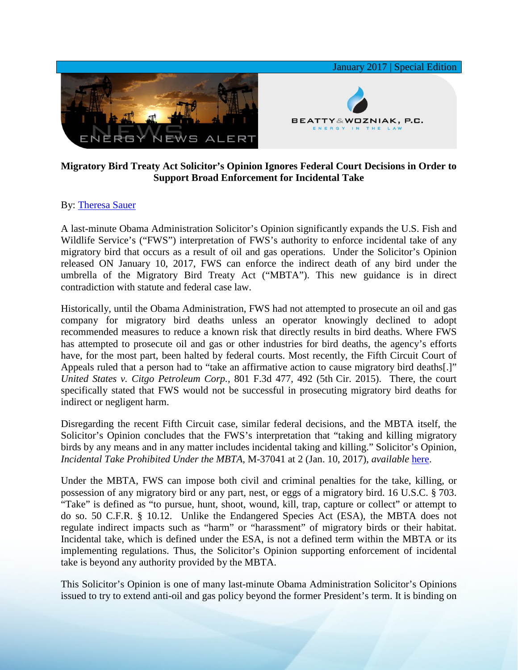

## **Migratory Bird Treaty Act Solicitor's Opinion Ignores Federal Court Decisions in Order to Support Broad Enforcement for Incidental Take**

## By: [Theresa Sauer](http://www.bwenergylaw.com/theresa-sauer)

A last-minute Obama Administration Solicitor's Opinion significantly expands the U.S. Fish and Wildlife Service's ("FWS") interpretation of FWS's authority to enforce incidental take of any migratory bird that occurs as a result of oil and gas operations. Under the Solicitor's Opinion released ON January 10, 2017, FWS can enforce the indirect death of any bird under the umbrella of the Migratory Bird Treaty Act ("MBTA"). This new guidance is in direct contradiction with statute and federal case law.

Historically, until the Obama Administration, FWS had not attempted to prosecute an oil and gas company for migratory bird deaths unless an operator knowingly declined to adopt recommended measures to reduce a known risk that directly results in bird deaths. Where FWS has attempted to prosecute oil and gas or other industries for bird deaths, the agency's efforts have, for the most part, been halted by federal courts. Most recently, the Fifth Circuit Court of Appeals ruled that a person had to "take an affirmative action to cause migratory bird deaths[.]" *United States v. Citgo Petroleum Corp.*, 801 F.3d 477, 492 (5th Cir. 2015). There, the court specifically stated that FWS would not be successful in prosecuting migratory bird deaths for indirect or negligent harm.

Disregarding the recent Fifth Circuit case, similar federal decisions, and the MBTA itself, the Solicitor's Opinion concludes that the FWS's interpretation that "taking and killing migratory birds by any means and in any matter includes incidental taking and killing." Solicitor's Opinion, *Incidental Take Prohibited Under the MBTA*, M-37041 at 2 (Jan. 10, 2017), *available* [here.](https://solicitor.doi.gov/opinions/M-37041.pdf)

Under the MBTA, FWS can impose both civil and criminal penalties for the take, killing, or possession of any migratory bird or any part, nest, or eggs of a migratory bird. 16 U.S.C. § 703. "Take" is defined as "to pursue, hunt, shoot, wound, kill, trap, capture or collect" or attempt to do so. 50 C.F.R. § 10.12. Unlike the Endangered Species Act (ESA), the MBTA does not regulate indirect impacts such as "harm" or "harassment" of migratory birds or their habitat. Incidental take, which is defined under the ESA, is not a defined term within the MBTA or its implementing regulations. Thus, the Solicitor's Opinion supporting enforcement of incidental take is beyond any authority provided by the MBTA.

This Solicitor's Opinion is one of many last-minute Obama Administration Solicitor's Opinions issued to try to extend anti-oil and gas policy beyond the former President's term. It is binding on